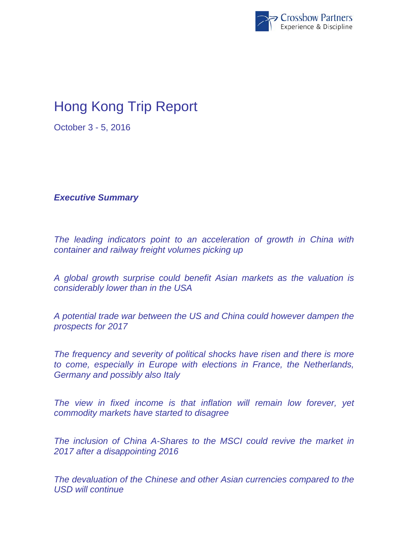

## Hong Kong Trip Report

October 3 - 5, 2016

*Executive Summary* 

*The leading indicators point to an acceleration of growth in China with container and railway freight volumes picking up* 

*A global growth surprise could benefit Asian markets as the valuation is considerably lower than in the USA* 

*A potential trade war between the US and China could however dampen the prospects for 2017* 

*The frequency and severity of political shocks have risen and there is more to come, especially in Europe with elections in France, the Netherlands, Germany and possibly also Italy* 

*The view in fixed income is that inflation will remain low forever, yet commodity markets have started to disagree* 

*The inclusion of China A-Shares to the MSCI could revive the market in 2017 after a disappointing 2016* 

*The devaluation of the Chinese and other Asian currencies compared to the USD will continue*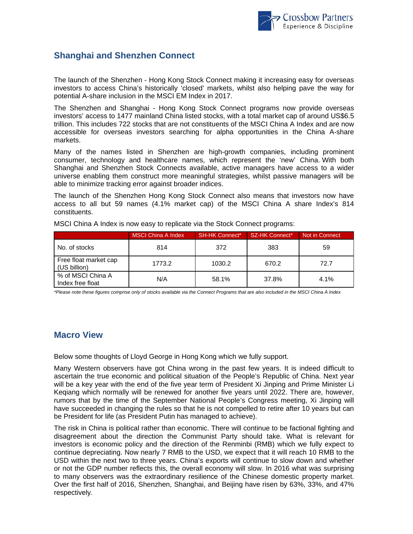

## **Shanghai and Shenzhen Connect**

The launch of the Shenzhen - Hong Kong Stock Connect making it increasing easy for overseas investors to access China's historically 'closed' markets, whilst also helping pave the way for potential A-share inclusion in the MSCI EM Index in 2017.

The Shenzhen and Shanghai - Hong Kong Stock Connect programs now provide overseas investors' access to 1477 mainland China listed stocks, with a total market cap of around US\$6.5 trillion. This includes 722 stocks that are not constituents of the MSCI China A Index and are now accessible for overseas investors searching for alpha opportunities in the China A-share markets.

Many of the names listed in Shenzhen are high-growth companies, including prominent consumer, technology and healthcare names, which represent the 'new' China. With both Shanghai and Shenzhen Stock Connects available, active managers have access to a wider universe enabling them construct more meaningful strategies, whilst passive managers will be able to minimize tracking error against broader indices.

The launch of the Shenzhen Hong Kong Stock Connect also means that investors now have access to all but 59 names (4.1% market cap) of the MSCI China A share Index's 814 constituents.

|                                       | MSCI China A Index | <b>SH-HK Connect*</b> | <b>SZ-HK Connect*</b> | Not in Connect |
|---------------------------------------|--------------------|-----------------------|-----------------------|----------------|
| No. of stocks                         | 814                | 372                   | 383                   | 59             |
| Free float market cap<br>(US billion) | 1773.2             | 1030.2                | 670.2                 | 72.7           |
| % of MSCI China A<br>Index free float | N/A                | 58.1%                 | 37.8%                 | 4.1%           |

MSCI China A Index is now easy to replicate via the Stock Connect programs:

*\*Please note these figures comprise only of stocks available via the Connect Programs that are also included in the MSCI China A Index* 

## **Macro View**

Below some thoughts of Lloyd George in Hong Kong which we fully support.

Many Western observers have got China wrong in the past few years. It is indeed difficult to ascertain the true economic and political situation of the People's Republic of China. Next year will be a key year with the end of the five year term of President Xi Jinping and Prime Minister Li Keqiang which normally will be renewed for another five years until 2022. There are, however, rumors that by the time of the September National People's Congress meeting, Xi Jinping will have succeeded in changing the rules so that he is not compelled to retire after 10 years but can be President for life (as President Putin has managed to achieve).

The risk in China is political rather than economic. There will continue to be factional fighting and disagreement about the direction the Communist Party should take. What is relevant for investors is economic policy and the direction of the Renminbi (RMB) which we fully expect to continue depreciating. Now nearly 7 RMB to the USD, we expect that it will reach 10 RMB to the USD within the next two to three years. China's exports will continue to slow down and whether or not the GDP number reflects this, the overall economy will slow. In 2016 what was surprising to many observers was the extraordinary resilience of the Chinese domestic property market. Over the first half of 2016, Shenzhen, Shanghai, and Beijing have risen by 63%, 33%, and 47% respectively.